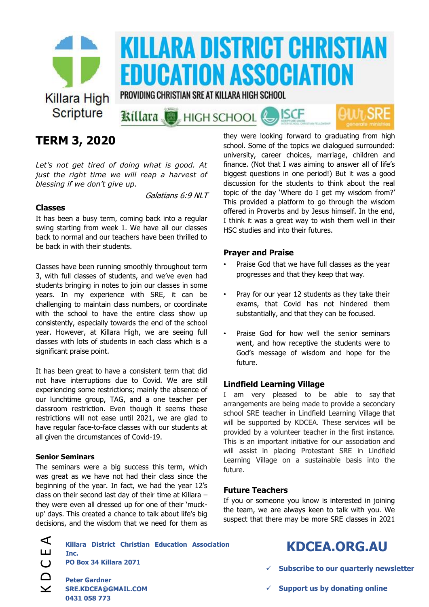

# **TERM 3, 2020**

*Let's not get tired of doing what is good. At just the right time we will reap a harvest of blessing if we don't give up.*

Galatians 6:9 NLT

### **Classes**

It has been a busy term, coming back into a regular swing starting from week 1. We have all our classes back to normal and our teachers have been thrilled to be back in with their students.

Classes have been running smoothly throughout term 3, with full classes of students, and we've even had students bringing in notes to join our classes in some years. In my experience with SRE, it can be challenging to maintain class numbers, or coordinate with the school to have the entire class show up consistently, especially towards the end of the school year. However, at Killara High, we are seeing full classes with lots of students in each class which is a significant praise point.

It has been great to have a consistent term that did not have interruptions due to Covid. We are still experiencing some restrictions; mainly the absence of our lunchtime group, TAG, and a one teacher per classroom restriction. Even though it seems these restrictions will not ease until 2021, we are glad to have regular face-to-face classes with our students at all given the circumstances of Covid-19.

### **Senior Seminars**

The seminars were a big success this term, which was great as we have not had their class since the beginning of the year. In fact, we had the year 12's class on their second last day of their time at Killara – they were even all dressed up for one of their 'muckup' days. This created a chance to talk about life's big decisions, and the wisdom that we need for them as they were looking forward to graduating from high school. Some of the topics we dialogued surrounded: university, career choices, marriage, children and finance. (Not that I was aiming to answer all of life's biggest questions in one period!) But it was a good discussion for the students to think about the real topic of the day 'Where do I get my wisdom from?' This provided a platform to go through the wisdom offered in Proverbs and by Jesus himself. In the end, I think it was a great way to wish them well in their HSC studies and into their futures.

#### **Prayer and Praise**

- Praise God that we have full classes as the year progresses and that they keep that way.
- Pray for our year 12 students as they take their exams, that Covid has not hindered them substantially, and that they can be focused.
- Praise God for how well the senior seminars went, and how receptive the students were to God's message of wisdom and hope for the future.

### **Lindfield Learning Village**

I am very pleased to be able to say that arrangements are being made to provide a secondary school SRE teacher in Lindfield Learning Village that will be supported by KDCEA. These services will be provided by a volunteer teacher in the first instance. This is an important initiative for our association and will assist in placing Protestant SRE in Lindfield Learning Village on a sustainable basis into the future.

### **Future Teachers**

If you or someone you know is interested in joining the team, we are always keen to talk with you. We suspect that there may be more SRE classes in 2021

| $\overline{\phantom{a}}$ | Killara District Christian Education Association                   | <b>KDCEA.ORG.AU</b>                                |
|--------------------------|--------------------------------------------------------------------|----------------------------------------------------|
| ய                        | Inc.                                                               |                                                    |
|                          | PO Box 34 Killara 2071                                             | $\checkmark$ Subscribe to our quarterly newsletter |
| $\checkmark$             | <b>Peter Gardner</b><br><b>SRE.KDCEA@GMAIL.COM</b><br>0431 058 773 | $\checkmark$ Support us by donating online         |